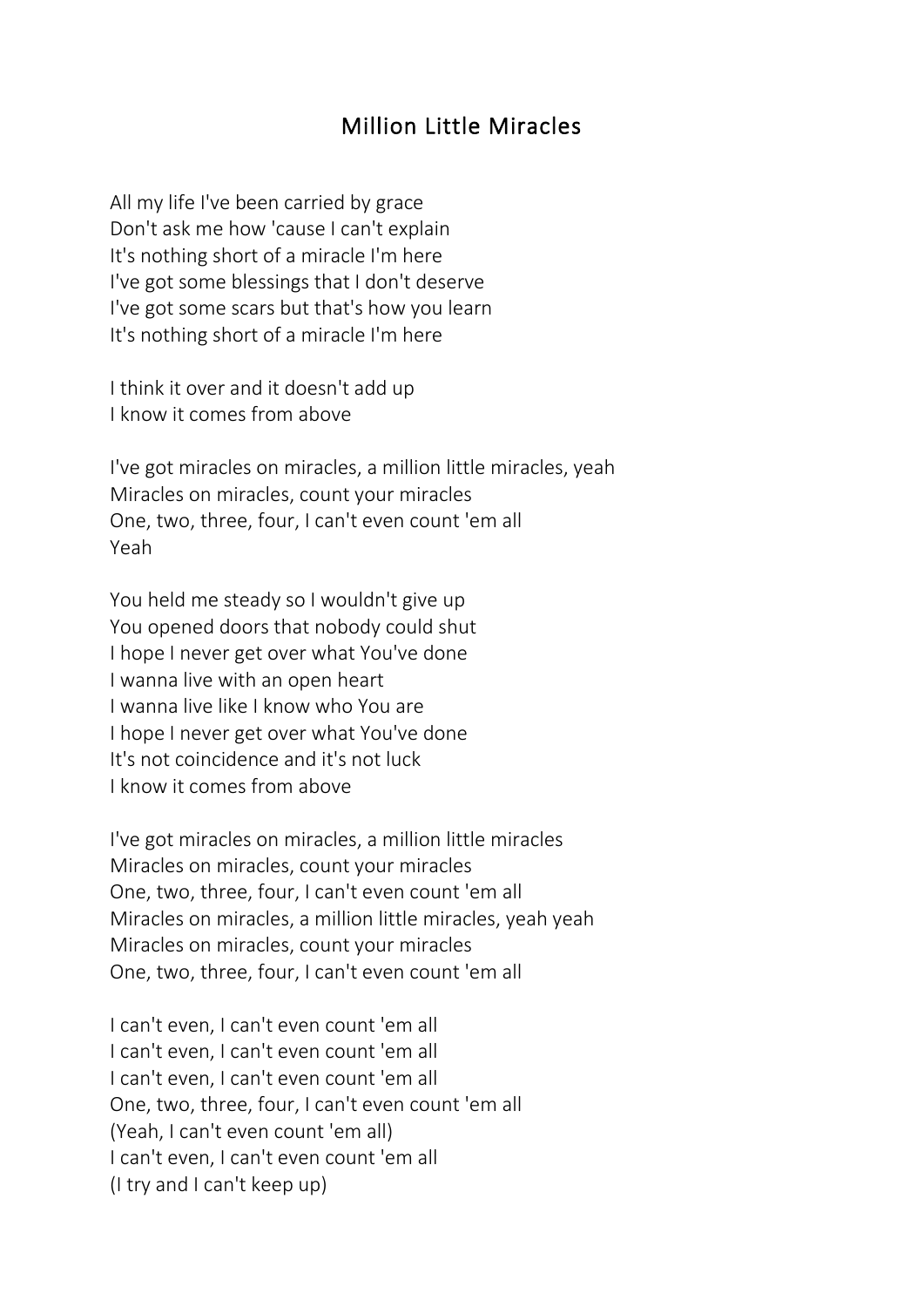## Million Little Miracles

All my life I've been carried by grace Don't ask me how 'cause I can't explain It's nothing short of a miracle I'm here I've got some blessings that I don't deserve I've got some scars but that's how you learn It's nothing short of a miracle I'm here

I think it over and it doesn't add up I know it comes from above

I've got miracles on miracles, a million little miracles, yeah Miracles on miracles, count your miracles One, two, three, four, I can't even count 'em all Yeah

You held me steady so I wouldn't give up You opened doors that nobody could shut I hope I never get over what You've done I wanna live with an open heart I wanna live like I know who You are I hope I never get over what You've done It's not coincidence and it's not luck I know it comes from above

I've got miracles on miracles, a million little miracles Miracles on miracles, count your miracles One, two, three, four, I can't even count 'em all Miracles on miracles, a million little miracles, yeah yeah Miracles on miracles, count your miracles One, two, three, four, I can't even count 'em all

I can't even, I can't even count 'em all I can't even, I can't even count 'em all I can't even, I can't even count 'em all One, two, three, four, I can't even count 'em all (Yeah, I can't even count 'em all) I can't even, I can't even count 'em all (I try and I can't keep up)